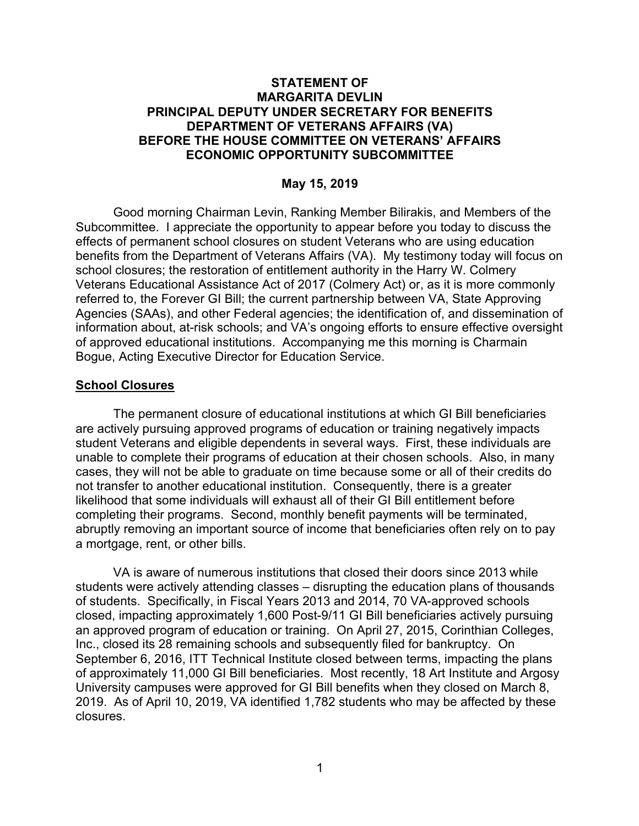## **STATEMENT OF MARGARITA DEVLIN PRINCIPAL DEPUTY UNDER SECRETARY FOR BENEFITS DEPARTMENT OF VETERANS AFFAIRS (VA) BEFORE THE HOUSE COMMITTEE ON VETERANS' AFFAIRS ECONOMIC OPPORTUNITY SUBCOMMITTEE**

### **May 15, 2019**

Good morning Chairman Levin, Ranking Member Bilirakis, and Members of the Subcommittee. I appreciate the opportunity to appear before you today to discuss the effects of permanent school closures on student Veterans who are using education benefits from the Department of Veterans Affairs (VA). My testimony today will focus on school closures; the restoration of entitlement authority in the Harry W. Colmery Veterans Educational Assistance Act of 2017 (Colmery Act) or, as it is more commonly referred to, the Forever GI Bill; the current partnership between VA, State Approving Agencies (SAAs), and other Federal agencies; the identification of, and dissemination of information about, at-risk schools; and VA's ongoing efforts to ensure effective oversight of approved educational institutions. Accompanying me this morning is Charmain Bogue, Acting Executive Director for Education Service.

#### **School Closures**

The permanent closure of educational institutions at which GI Bill beneficiaries are actively pursuing approved programs of education or training negatively impacts student Veterans and eligible dependents in several ways. First, these individuals are unable to complete their programs of education at their chosen schools. Also, in many cases, they will not be able to graduate on time because some or all of their credits do not transfer to another educational institution. Consequently, there is a greater likelihood that some individuals will exhaust all of their GI Bill entitlement before completing their programs. Second, monthly benefit payments will be terminated, abruptly removing an important source of income that beneficiaries often rely on to pay a mortgage, rent, or other bills.

VA is aware of numerous institutions that closed their doors since 2013 while students were actively attending classes – disrupting the education plans of thousands of students. Specifically, in Fiscal Years 2013 and 2014, 70 VA-approved schools closed, impacting approximately 1,600 Post-9/11 GI Bill beneficiaries actively pursuing an approved program of education or training. On April 27, 2015, Corinthian Colleges, Inc., closed its 28 remaining schools and subsequently filed for bankruptcy. On September 6, 2016, ITT Technical Institute closed between terms, impacting the plans of approximately 11,000 GI Bill beneficiaries. Most recently, 18 Art Institute and Argosy University campuses were approved for GI Bill benefits when they closed on March 8, 2019. As of April 10, 2019, VA identified 1,782 students who may be affected by these closures.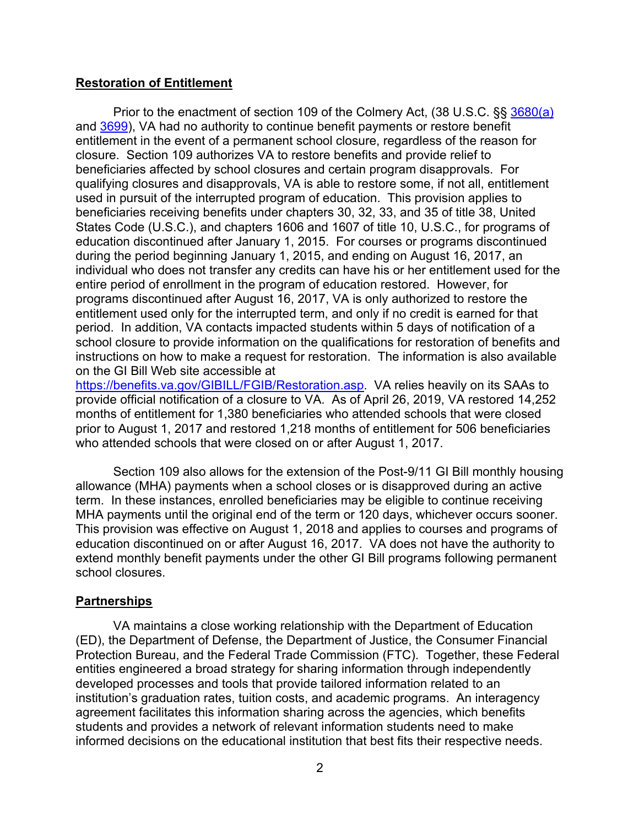### **Restoration of Entitlement**

Prior to the enactment of section 109 of the Colmery Act, (38 U.S.C. §§ 3680(a) and 3699), VA had no authority to continue benefit payments or restore benefit entitlement in the event of a permanent school closure, regardless of the reason for closure. Section 109 authorizes VA to restore benefits and provide relief to beneficiaries affected by school closures and certain program disapprovals. For qualifying closures and disapprovals, VA is able to restore some, if not all, entitlement used in pursuit of the interrupted program of education. This provision applies to beneficiaries receiving benefits under chapters 30, 32, 33, and 35 of title 38, United States Code (U.S.C.), and chapters 1606 and 1607 of title 10, U.S.C., for programs of education discontinued after January 1, 2015. For courses or programs discontinued during the period beginning January 1, 2015, and ending on August 16, 2017, an individual who does not transfer any credits can have his or her entitlement used for the entire period of enrollment in the program of education restored. However, for programs discontinued after August 16, 2017, VA is only authorized to restore the entitlement used only for the interrupted term, and only if no credit is earned for that period. In addition, VA contacts impacted students within 5 days of notification of a school closure to provide information on the qualifications for restoration of benefits and instructions on how to make a request for restoration. The information is also available on the GI Bill Web site accessible at

https://benefits.va.gov/GIBILL/FGIB/Restoration.asp. VA relies heavily on its SAAs to provide official notification of a closure to VA. As of April 26, 2019, VA restored 14,252 months of entitlement for 1,380 beneficiaries who attended schools that were closed prior to August 1, 2017 and restored 1,218 months of entitlement for 506 beneficiaries who attended schools that were closed on or after August 1, 2017.

Section 109 also allows for the extension of the Post-9/11 GI Bill monthly housing allowance (MHA) payments when a school closes or is disapproved during an active term. In these instances, enrolled beneficiaries may be eligible to continue receiving MHA payments until the original end of the term or 120 days, whichever occurs sooner. This provision was effective on August 1, 2018 and applies to courses and programs of education discontinued on or after August 16, 2017. VA does not have the authority to extend monthly benefit payments under the other GI Bill programs following permanent school closures.

# **Partnerships**

VA maintains a close working relationship with the Department of Education (ED), the Department of Defense, the Department of Justice, the Consumer Financial Protection Bureau, and the Federal Trade Commission (FTC). Together, these Federal entities engineered a broad strategy for sharing information through independently developed processes and tools that provide tailored information related to an institution's graduation rates, tuition costs, and academic programs. An interagency agreement facilitates this information sharing across the agencies, which benefits students and provides a network of relevant information students need to make informed decisions on the educational institution that best fits their respective needs.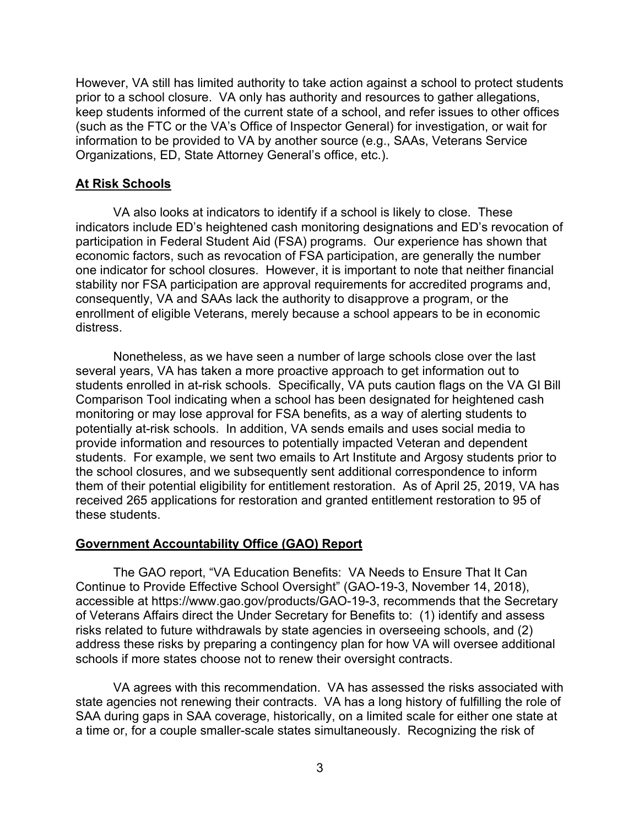However, VA still has limited authority to take action against a school to protect students prior to a school closure. VA only has authority and resources to gather allegations, keep students informed of the current state of a school, and refer issues to other offices (such as the FTC or the VA's Office of Inspector General) for investigation, or wait for information to be provided to VA by another source (e.g., SAAs, Veterans Service Organizations, ED, State Attorney General's office, etc.).

### **At Risk Schools**

VA also looks at indicators to identify if a school is likely to close. These indicators include ED's heightened cash monitoring designations and ED's revocation of participation in Federal Student Aid (FSA) programs. Our experience has shown that economic factors, such as revocation of FSA participation, are generally the number one indicator for school closures. However, it is important to note that neither financial stability nor FSA participation are approval requirements for accredited programs and, consequently, VA and SAAs lack the authority to disapprove a program, or the enrollment of eligible Veterans, merely because a school appears to be in economic distress.

Nonetheless, as we have seen a number of large schools close over the last several years, VA has taken a more proactive approach to get information out to students enrolled in at-risk schools. Specifically, VA puts caution flags on the VA GI Bill Comparison Tool indicating when a school has been designated for heightened cash monitoring or may lose approval for FSA benefits, as a way of alerting students to potentially at-risk schools. In addition, VA sends emails and uses social media to provide information and resources to potentially impacted Veteran and dependent students. For example, we sent two emails to Art Institute and Argosy students prior to the school closures, and we subsequently sent additional correspondence to inform them of their potential eligibility for entitlement restoration. As of April 25, 2019, VA has received 265 applications for restoration and granted entitlement restoration to 95 of these students.

#### **Government Accountability Office (GAO) Report**

The GAO report, "VA Education Benefits: VA Needs to Ensure That It Can Continue to Provide Effective School Oversight" (GAO-19-3, November 14, 2018), accessible at https://www.gao.gov/products/GAO-19-3, recommends that the Secretary of Veterans Affairs direct the Under Secretary for Benefits to: (1) identify and assess risks related to future withdrawals by state agencies in overseeing schools, and (2) address these risks by preparing a contingency plan for how VA will oversee additional schools if more states choose not to renew their oversight contracts.

VA agrees with this recommendation. VA has assessed the risks associated with state agencies not renewing their contracts. VA has a long history of fulfilling the role of SAA during gaps in SAA coverage, historically, on a limited scale for either one state at a time or, for a couple smaller-scale states simultaneously. Recognizing the risk of